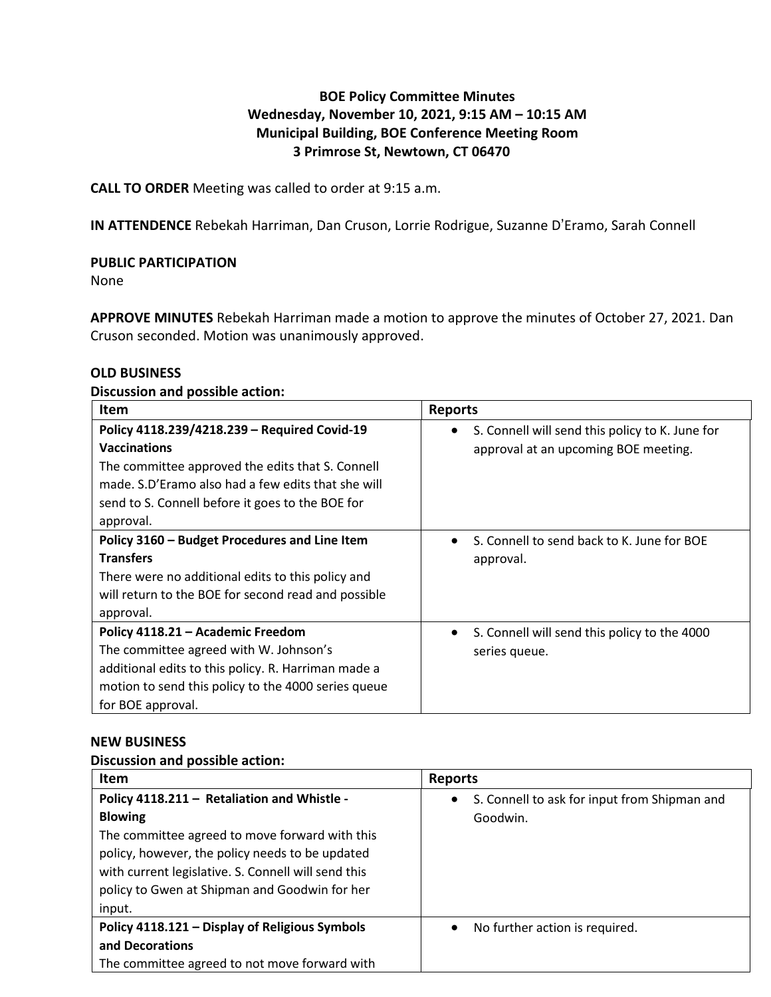# **BOE Policy Committee Minutes Wednesday, November 10, 2021, 9:15 AM – 10:15 AM Municipal Building, BOE Conference Meeting Room 3 Primrose St, Newtown, CT 06470**

**CALL TO ORDER** Meeting was called to order at 9:15 a.m.

**IN ATTENDENCE** Rebekah Harriman, Dan Cruson, Lorrie Rodrigue, Suzanne D'Eramo, Sarah Connell

# **PUBLIC PARTICIPATION**

None

**APPROVE MINUTES** Rebekah Harriman made a motion to approve the minutes of October 27, 2021. Dan Cruson seconded. Motion was unanimously approved.

#### **OLD BUSINESS**

#### **Discussion and possible action:**

| Item                                                                                                                                                                                                                                           | <b>Reports</b>                                                                          |
|------------------------------------------------------------------------------------------------------------------------------------------------------------------------------------------------------------------------------------------------|-----------------------------------------------------------------------------------------|
| Policy 4118.239/4218.239 - Required Covid-19<br><b>Vaccinations</b><br>The committee approved the edits that S. Connell<br>made. S.D'Eramo also had a few edits that she will<br>send to S. Connell before it goes to the BOE for<br>approval. | S. Connell will send this policy to K. June for<br>approval at an upcoming BOE meeting. |
| Policy 3160 - Budget Procedures and Line Item<br><b>Transfers</b><br>There were no additional edits to this policy and<br>will return to the BOE for second read and possible<br>approval.                                                     | S. Connell to send back to K. June for BOE<br>approval.                                 |
| Policy 4118.21 - Academic Freedom<br>The committee agreed with W. Johnson's<br>additional edits to this policy. R. Harriman made a<br>motion to send this policy to the 4000 series queue<br>for BOE approval.                                 | S. Connell will send this policy to the 4000<br>series queue.                           |

#### **NEW BUSINESS**

#### **Discussion and possible action:**

| <b>Item</b>                                         | <b>Reports</b>                                            |
|-----------------------------------------------------|-----------------------------------------------------------|
| Policy 4118.211 - Retaliation and Whistle -         | S. Connell to ask for input from Shipman and<br>$\bullet$ |
| <b>Blowing</b>                                      | Goodwin.                                                  |
| The committee agreed to move forward with this      |                                                           |
| policy, however, the policy needs to be updated     |                                                           |
| with current legislative. S. Connell will send this |                                                           |
| policy to Gwen at Shipman and Goodwin for her       |                                                           |
| input.                                              |                                                           |
| Policy 4118.121 - Display of Religious Symbols      | No further action is required.<br>$\bullet$               |
| and Decorations                                     |                                                           |
| The committee agreed to not move forward with       |                                                           |